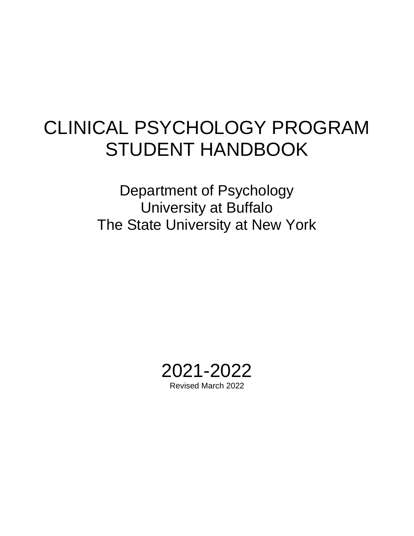# CLINICAL PSYCHOLOGY PROGRAM STUDENT HANDBOOK

Department of Psychology University at Buffalo The State University at New York

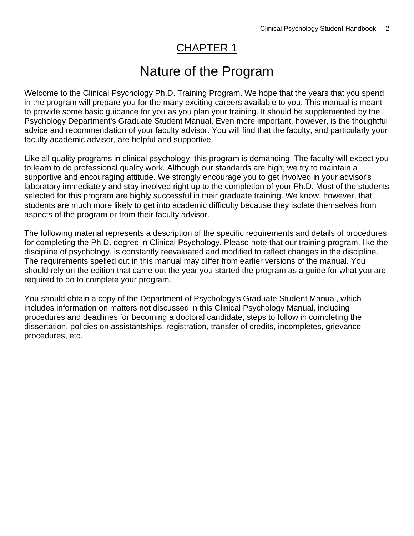## CHAPTER 1

# Nature of the Program

Welcome to the Clinical Psychology Ph.D. Training Program. We hope that the years that you spend in the program will prepare you for the many exciting careers available to you. This manual is meant to provide some basic guidance for you as you plan your training. It should be supplemented by the Psychology Department's Graduate Student Manual. Even more important, however, is the thoughtful advice and recommendation of your faculty advisor. You will find that the faculty, and particularly your faculty academic advisor, are helpful and supportive.

Like all quality programs in clinical psychology, this program is demanding. The faculty will expect you to learn to do professional quality work. Although our standards are high, we try to maintain a supportive and encouraging attitude. We strongly encourage you to get involved in your advisor's laboratory immediately and stay involved right up to the completion of your Ph.D. Most of the students selected for this program are highly successful in their graduate training. We know, however, that students are much more likely to get into academic difficulty because they isolate themselves from aspects of the program or from their faculty advisor.

The following material represents a description of the specific requirements and details of procedures for completing the Ph.D. degree in Clinical Psychology. Please note that our training program, like the discipline of psychology, is constantly reevaluated and modified to reflect changes in the discipline. The requirements spelled out in this manual may differ from earlier versions of the manual. You should rely on the edition that came out the year you started the program as a guide for what you are required to do to complete your program.

You should obtain a copy of the Department of Psychology's Graduate Student Manual, which includes information on matters not discussed in this Clinical Psychology Manual, including procedures and deadlines for becoming a doctoral candidate, steps to follow in completing the dissertation, policies on assistantships, registration, transfer of credits, incompletes, grievance procedures, etc.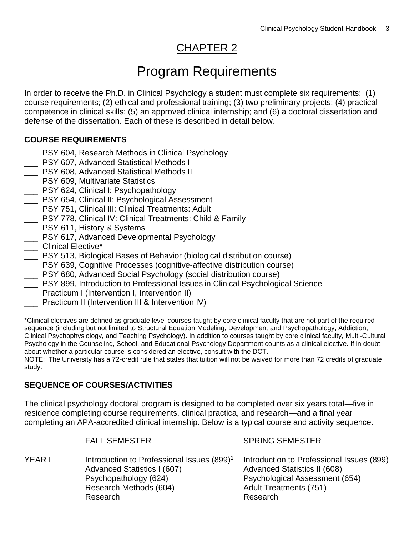# CHAPTER 2

# Program Requirements

In order to receive the Ph.D. in Clinical Psychology a student must complete six requirements: (1) course requirements; (2) ethical and professional training; (3) two preliminary projects; (4) practical competence in clinical skills; (5) an approved clinical internship; and (6) a doctoral dissertation and defense of the dissertation. Each of these is described in detail below.

#### **COURSE REQUIREMENTS**

- PSY 604, Research Methods in Clinical Psychology
- \_\_\_ PSY 607, Advanced Statistical Methods I
- PSY 608, Advanced Statistical Methods II
- **LETT** PSY 609, Multivariate Statistics
- \_\_\_ PSY 624, Clinical I: Psychopathology
- **LETT** PSY 654, Clinical II: Psychological Assessment
- PSY 751, Clinical III: Clinical Treatments: Adult
- PSY 778, Clinical IV: Clinical Treatments: Child & Family
- \_\_\_ PSY 611, History & Systems
- \_\_\_ PSY 617, Advanced Developmental Psychology
- \_\_\_ Clinical Elective\*
- \_\_\_ PSY 513, Biological Bases of Behavior (biological distribution course)
- PSY 639, Cognitive Processes (cognitive-affective distribution course)
- \_\_\_ PSY 680, Advanced Social Psychology (social distribution course)
- PSY 899, Introduction to Professional Issues in Clinical Psychological Science
- **\_\_\_** Practicum I (Intervention I, Intervention II)
- Practicum II (Intervention III & Intervention IV)

\*Clinical electives are defined as graduate level courses taught by core clinical faculty that are not part of the required sequence (including but not limited to Structural Equation Modeling, Development and Psychopathology, Addiction, Clinical Psychophysiology, and Teaching Psychology). In addition to courses taught by core clinical faculty, Multi-Cultural Psychology in the Counseling, School, and Educational Psychology Department counts as a clinical elective. If in doubt about whether a particular course is considered an elective, consult with the DCT.

NOTE: The University has a 72-credit rule that states that tuition will not be waived for more than 72 credits of graduate study.

#### **SEQUENCE OF COURSES/ACTIVITIES**

The clinical psychology doctoral program is designed to be completed over six years total—five in residence completing course requirements, clinical practica, and research—and a final year completing an APA-accredited clinical internship. Below is a typical course and activity sequence.

|        | <b>FALL SEMESTER</b>                                                                                                                                 | <b>SPRING SEMESTER</b>                                                                                                                                   |
|--------|------------------------------------------------------------------------------------------------------------------------------------------------------|----------------------------------------------------------------------------------------------------------------------------------------------------------|
| YEAR I | Introduction to Professional Issues (899) <sup>1</sup><br>Advanced Statistics I (607)<br>Psychopathology (624)<br>Research Methods (604)<br>Research | Introduction to Professional Issues (899)<br>Advanced Statistics II (608)<br>Psychological Assessment (654)<br><b>Adult Treatments (751)</b><br>Research |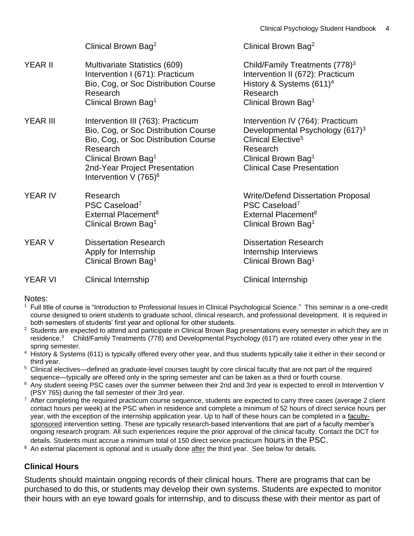|                 | Clinical Brown Bag <sup>2</sup>                                                                                                                                                                                               | Clinical Brown Bag <sup>2</sup>                                                                                                                                                                       |
|-----------------|-------------------------------------------------------------------------------------------------------------------------------------------------------------------------------------------------------------------------------|-------------------------------------------------------------------------------------------------------------------------------------------------------------------------------------------------------|
| YEAR II         | Multivariate Statistics (609)<br>Intervention I (671): Practicum<br>Bio, Cog, or Soc Distribution Course<br>Research<br>Clinical Brown Bag <sup>1</sup>                                                                       | Child/Family Treatments (778) <sup>3</sup><br>Intervention II (672): Practicum<br>History & Systems $(611)^4$<br>Research<br>Clinical Brown Bag <sup>1</sup>                                          |
| <b>YEAR III</b> | Intervention III (763): Practicum<br>Bio, Cog, or Soc Distribution Course<br>Bio, Cog, or Soc Distribution Course<br>Research<br>Clinical Brown Bag <sup>1</sup><br>2nd-Year Project Presentation<br>Intervention V $(765)^6$ | Intervention IV (764): Practicum<br>Developmental Psychology (617) <sup>3</sup><br>Clinical Elective <sup>5</sup><br>Research<br>Clinical Brown Bag <sup>1</sup><br><b>Clinical Case Presentation</b> |
| <b>YEAR IV</b>  | Research<br>PSC Caseload <sup>7</sup><br>External Placement <sup>8</sup><br>Clinical Brown Bag <sup>1</sup>                                                                                                                   | <b>Write/Defend Dissertation Proposal</b><br>PSC Caseload <sup>7</sup><br>External Placement <sup>8</sup><br>Clinical Brown Bag <sup>1</sup>                                                          |
| YEAR V          | <b>Dissertation Research</b><br>Apply for Internship<br>Clinical Brown Bag <sup>1</sup>                                                                                                                                       | <b>Dissertation Research</b><br>Internship Interviews<br>Clinical Brown Bag <sup>1</sup>                                                                                                              |
| <b>YEAR VI</b>  | <b>Clinical Internship</b>                                                                                                                                                                                                    | <b>Clinical Internship</b>                                                                                                                                                                            |

#### Notes:

- <sup>1</sup> Full title of course is "Introduction to Professional Issues in Clinical Psychological Science." This seminar is a one-credit course designed to orient students to graduate school, clinical research, and professional development. It is required in both semesters of students' first year and optional for other students.
- <sup>2</sup> Students are expected to attend and participate in Clinical Brown Bag presentations every semester in which they are in residence.<sup>3</sup> Child/Family Treatments (778) and Developmental Psychology (617) are rotated every other year in the spring semester.
- <sup>4</sup> History & Systems (611) is typically offered every other year, and thus students typically take it either in their second or third year.
- <sup>5</sup> Clinical electives—defined as graduate-level courses taught by core clinical faculty that are not part of the required sequence—typically are offered only in the spring semester and can be taken as a third or fourth course.
- <sup>6</sup> Any student seeing PSC cases over the summer between their 2nd and 3rd year is expected to enroll in Intervention V (PSY 765) during the fall semester of their 3rd year.
- $<sup>7</sup>$  After completing the required practicum course sequence, students are expected to carry three cases (average 2 client</sup> contact hours per week) at the PSC when in residence and complete a minimum of 52 hours of direct service hours per year, with the exception of the internship application year. Up to half of these hours can be completed in a facultysponsored intervention setting. These are typically research-based interventions that are part of a faculty member's ongoing research program. All such experiences require the prior approval of the clinical faculty. Contact the DCT for details. Students must accrue a minimum total of 150 direct service practicum hours in the PSC.
- An external placement is optional and is usually done after the third year. See below for details.

#### **Clinical Hours**

Students should maintain ongoing records of their clinical hours. There are programs that can be purchased to do this, or students may develop their own systems. Students are expected to monitor their hours with an eye toward goals for internship, and to discuss these with their mentor as part of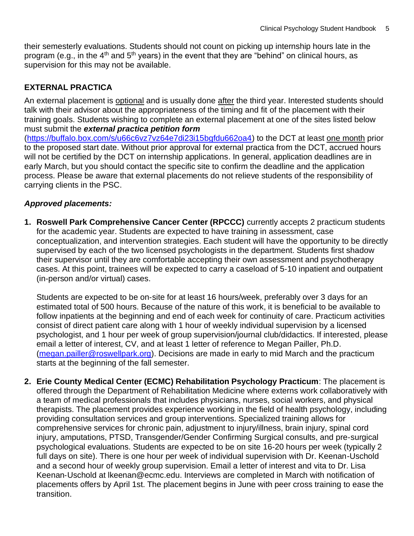their semesterly evaluations. Students should not count on picking up internship hours late in the program (e.g., in the  $4<sup>th</sup>$  and  $5<sup>th</sup>$  years) in the event that they are "behind" on clinical hours, as supervision for this may not be available.

#### **EXTERNAL PRACTICA**

An external placement is optional and is usually done after the third year. Interested students should talk with their advisor about the appropriateness of the timing and fit of the placement with their training goals. Students wishing to complete an external placement at one of the sites listed below must submit the *external practica petition form*

[\(https://buffalo.box.com/s/u66c6vz7vz64e7di23i15bgfdu662oa4\)](https://buffalo.box.com/s/u66c6vz7vz64e7di23i15bgfdu662oa4) to the DCT at least one month prior to the proposed start date. Without prior approval for external practica from the DCT, accrued hours will not be certified by the DCT on internship applications. In general, application deadlines are in early March, but you should contact the specific site to confirm the deadline and the application process. Please be aware that external placements do not relieve students of the responsibility of carrying clients in the PSC.

#### *Approved placements:*

**1. Roswell Park Comprehensive Cancer Center (RPCCC)** currently accepts 2 practicum students for the academic year. Students are expected to have training in assessment, case conceptualization, and intervention strategies. Each student will have the opportunity to be directly supervised by each of the two licensed psychologists in the department. Students first shadow their supervisor until they are comfortable accepting their own assessment and psychotherapy cases. At this point, trainees will be expected to carry a caseload of 5‐10 inpatient and outpatient (in-person and/or virtual) cases.

Students are expected to be on‐site for at least 16 hours/week, preferably over 3 days for an estimated total of 500 hours. Because of the nature of this work, it is beneficial to be available to follow inpatients at the beginning and end of each week for continuity of care. Practicum activities consist of direct patient care along with 1 hour of weekly individual supervision by a licensed psychologist, and 1 hour per week of group supervision/journal club/didactics. If interested, please email a letter of interest, CV, and at least 1 letter of reference to Megan Pailler, Ph.D. [\(megan.pailler@roswellpark.org\)](mailto:megan.pailler@roswellpark.org). Decisions are made in early to mid March and the practicum starts at the beginning of the fall semester.

**2. Erie County Medical Center (ECMC) Rehabilitation Psychology Practicum**: The placement is offered through the Department of Rehabilitation Medicine where externs work collaboratively with a team of medical professionals that includes physicians, nurses, social workers, and physical therapists. The placement provides experience working in the field of health psychology, including providing consultation services and group interventions. Specialized training allows for comprehensive services for chronic pain, adjustment to injury/illness, brain injury, spinal cord injury, amputations, PTSD, Transgender/Gender Confirming Surgical consults, and pre‐surgical psychological evaluations. Students are expected to be on site 16-20 hours per week (typically 2 full days on site). There is one hour per week of individual supervision with Dr. Keenan-Uschold and a second hour of weekly group supervision. Email a letter of interest and vita to Dr. Lisa Keenan‐Uschold at lkeenan@ecmc.edu. Interviews are completed in March with notification of placements offers by April 1st. The placement begins in June with peer cross training to ease the transition.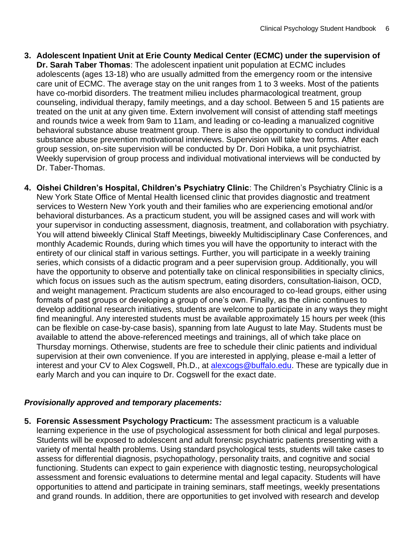- **3. Adolescent Inpatient Unit at Erie County Medical Center (ECMC) under the supervision of Dr. Sarah Taber Thomas**: The adolescent inpatient unit population at ECMC includes adolescents (ages 13-18) who are usually admitted from the emergency room or the intensive care unit of ECMC. The average stay on the unit ranges from 1 to 3 weeks. Most of the patients have co-morbid disorders. The treatment milieu includes pharmacological treatment, group counseling, individual therapy, family meetings, and a day school. Between 5 and 15 patients are treated on the unit at any given time. Extern involvement will consist of attending staff meetings and rounds twice a week from 9am to 11am, and leading or co-leading a manualized cognitive behavioral substance abuse treatment group. There is also the opportunity to conduct individual substance abuse prevention motivational interviews. Supervision will take two forms. After each group session, on-site supervision will be conducted by Dr. Dori Hobika, a unit psychiatrist. Weekly supervision of group process and individual motivational interviews will be conducted by Dr. Taber-Thomas.
- **4. Oishei Children's Hospital, Children's Psychiatry Clinic**: The Children's Psychiatry Clinic is a New York State Office of Mental Health licensed clinic that provides diagnostic and treatment services to Western New York youth and their families who are experiencing emotional and/or behavioral disturbances. As a practicum student, you will be assigned cases and will work with your supervisor in conducting assessment, diagnosis, treatment, and collaboration with psychiatry. You will attend biweekly Clinical Staff Meetings, biweekly Multidisciplinary Case Conferences, and monthly Academic Rounds, during which times you will have the opportunity to interact with the entirety of our clinical staff in various settings. Further, you will participate in a weekly training series, which consists of a didactic program and a peer supervision group. Additionally, you will have the opportunity to observe and potentially take on clinical responsibilities in specialty clinics, which focus on issues such as the autism spectrum, eating disorders, consultation-liaison, OCD, and weight management. Practicum students are also encouraged to co-lead groups, either using formats of past groups or developing a group of one's own. Finally, as the clinic continues to develop additional research initiatives, students are welcome to participate in any ways they might find meaningful. Any interested students must be available approximately 15 hours per week (this can be flexible on case-by-case basis), spanning from late August to late May. Students must be available to attend the above-referenced meetings and trainings, all of which take place on Thursday mornings. Otherwise, students are free to schedule their clinic patients and individual supervision at their own convenience. If you are interested in applying, please e-mail a letter of interest and your CV to Alex Cogswell, Ph.D., at [alexcogs@buffalo.edu.](mailto:alexcogs@buffalo.edu) These are typically due in early March and you can inquire to Dr. Cogswell for the exact date.

#### *Provisionally approved and temporary placements:*

**5. Forensic Assessment Psychology Practicum:** The assessment practicum is a valuable learning experience in the use of psychological assessment for both clinical and legal purposes. Students will be exposed to adolescent and adult forensic psychiatric patients presenting with a variety of mental health problems. Using standard psychological tests, students will take cases to assess for differential diagnosis, psychopathology, personality traits, and cognitive and social functioning. Students can expect to gain experience with diagnostic testing, neuropsychological assessment and forensic evaluations to determine mental and legal capacity. Students will have opportunities to attend and participate in training seminars, staff meetings, weekly presentations and grand rounds. In addition, there are opportunities to get involved with research and develop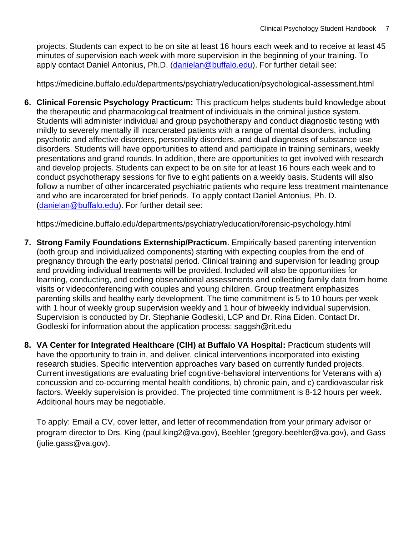projects. Students can expect to be on site at least 16 hours each week and to receive at least 45 minutes of supervision each week with more supervision in the beginning of your training. To apply contact Daniel Antonius, Ph.D. [\(danielan@buffalo.edu\)](mailto:danielan@buffalo.edu). For further detail see:

https://medicine.buffalo.edu/departments/psychiatry/education/psychological-assessment.html

**6. Clinical Forensic Psychology Practicum:** This practicum helps students build knowledge about the therapeutic and pharmacological treatment of individuals in the criminal justice system. Students will administer individual and group psychotherapy and conduct diagnostic testing with mildly to severely mentally ill incarcerated patients with a range of mental disorders, including psychotic and affective disorders, personality disorders, and dual diagnoses of substance use disorders. Students will have opportunities to attend and participate in training seminars, weekly presentations and grand rounds. In addition, there are opportunities to get involved with research and develop projects. Students can expect to be on site for at least 16 hours each week and to conduct psychotherapy sessions for five to eight patients on a weekly basis. Students will also follow a number of other incarcerated psychiatric patients who require less treatment maintenance and who are incarcerated for brief periods. To apply contact Daniel Antonius, Ph. D. [\(danielan@buffalo.edu\)](mailto:danielan@buffalo.edu). For further detail see:

https://medicine.buffalo.edu/departments/psychiatry/education/forensic-psychology.html

- **7. Strong Family Foundations Externship/Practicum**. Empirically-based parenting intervention (both group and individualized components) starting with expecting couples from the end of pregnancy through the early postnatal period. Clinical training and supervision for leading group and providing individual treatments will be provided. Included will also be opportunities for learning, conducting, and coding observational assessments and collecting family data from home visits or videoconferencing with couples and young children. Group treatment emphasizes parenting skills and healthy early development. The time commitment is 5 to 10 hours per week with 1 hour of weekly group supervision weekly and 1 hour of biweekly individual supervision. Supervision is conducted by Dr. Stephanie Godleski, LCP and Dr. Rina Eiden. Contact Dr. Godleski for information about the application process: saggsh@rit.edu
- **8. VA Center for Integrated Healthcare (CIH) at Buffalo VA Hospital:** Practicum students will have the opportunity to train in, and deliver, clinical interventions incorporated into existing research studies. Specific intervention approaches vary based on currently funded projects. Current investigations are evaluating brief cognitive‐behavioral interventions for Veterans with a) concussion and co‐occurring mental health conditions, b) chronic pain, and c) cardiovascular risk factors. Weekly supervision is provided. The projected time commitment is 8‐12 hours per week. Additional hours may be negotiable.

To apply: Email a CV, cover letter, and letter of recommendation from your primary advisor or program director to Drs. King (paul.king2@va.gov), Beehler (gregory.beehler@va.gov), and Gass (julie.gass@va.gov).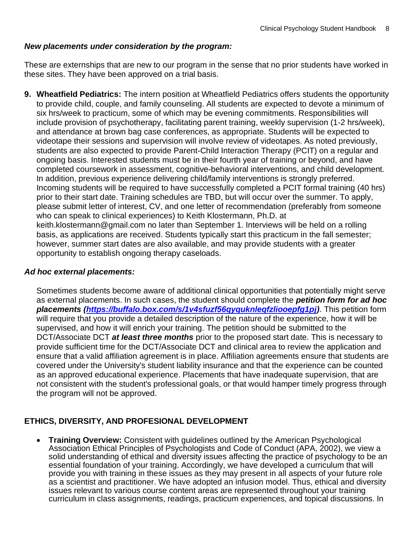#### *New placements under consideration by the program:*

These are externships that are new to our program in the sense that no prior students have worked in these sites. They have been approved on a trial basis.

**9. Wheatfield Pediatrics:** The intern position at Wheatfield Pediatrics offers students the opportunity to provide child, couple, and family counseling. All students are expected to devote a minimum of six hrs/week to practicum, some of which may be evening commitments. Responsibilities will include provision of psychotherapy, facilitating parent training, weekly supervision (1-2 hrs/week), and attendance at brown bag case conferences, as appropriate. Students will be expected to videotape their sessions and supervision will involve review of videotapes. As noted previously, students are also expected to provide Parent-Child Interaction Therapy (PCIT) on a regular and ongoing basis. Interested students must be in their fourth year of training or beyond, and have completed coursework in assessment, cognitive-behavioral interventions, and child development. In addition, previous experience delivering child/family interventions is strongly preferred. Incoming students will be required to have successfully completed a PCIT formal training (40 hrs) prior to their start date. Training schedules are TBD, but will occur over the summer. To apply, please submit letter of interest, CV, and one letter of recommendation (preferably from someone who can speak to clinical experiences) to Keith Klostermann, Ph.D. at keith.klostermann@gmail.com no later than September 1. Interviews will be held on a rolling basis, as applications are received. Students typically start this practicum in the fall semester; however, summer start dates are also available, and may provide students with a greater opportunity to establish ongoing therapy caseloads.

#### *Ad hoc external placements:*

Sometimes students become aware of additional clinical opportunities that potentially might serve as external placements. In such cases, the student should complete the *petition form for ad hoc placements [\(https://buffalo.box.com/s/1v4sfuzf56qyquknleqfzliooepfg1pj\)](https://buffalo.box.com/s/1v4sfuzf56qyquknleqfzliooepfg1pj)*. This petition form will require that you provide a detailed description of the nature of the experience, how it will be supervised, and how it will enrich your training. The petition should be submitted to the DCT/Associate DCT *at least three months* prior to the proposed start date. This is necessary to provide sufficient time for the DCT/Associate DCT and clinical area to review the application and ensure that a valid affiliation agreement is in place. Affiliation agreements ensure that students are covered under the University's student liability insurance and that the experience can be counted as an approved educational experience. Placements that have inadequate supervision, that are not consistent with the student's professional goals, or that would hamper timely progress through the program will not be approved.

#### **ETHICS, DIVERSITY, AND PROFESIONAL DEVELOPMENT**

• **Training Overview:** Consistent with guidelines outlined by the American Psychological Association Ethical Principles of Psychologists and Code of Conduct (APA, 2002), we view a solid understanding of ethical and diversity issues affecting the practice of psychology to be an essential foundation of your training. Accordingly, we have developed a curriculum that will provide you with training in these issues as they may present in all aspects of your future role as a scientist and practitioner. We have adopted an infusion model. Thus, ethical and diversity issues relevant to various course content areas are represented throughout your training curriculum in class assignments, readings, practicum experiences, and topical discussions. In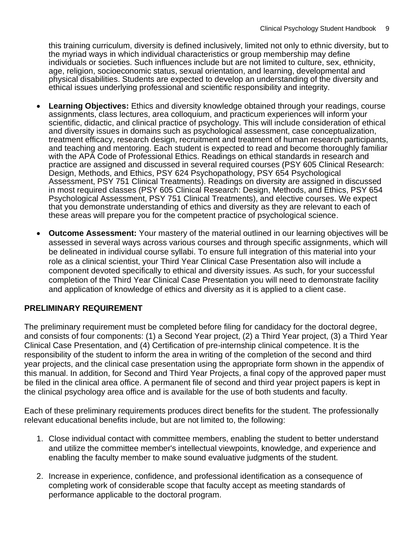this training curriculum, diversity is defined inclusively, limited not only to ethnic diversity, but to the myriad ways in which individual characteristics or group membership may define individuals or societies. Such influences include but are not limited to culture, sex, ethnicity, age, religion, socioeconomic status, sexual orientation, and learning, developmental and physical disabilities. Students are expected to develop an understanding of the diversity and ethical issues underlying professional and scientific responsibility and integrity.

- **Learning Objectives:** Ethics and diversity knowledge obtained through your readings, course assignments, class lectures, area colloquium, and practicum experiences will inform your scientific, didactic, and clinical practice of psychology. This will include consideration of ethical and diversity issues in domains such as psychological assessment, case conceptualization, treatment efficacy, research design, recruitment and treatment of human research participants, and teaching and mentoring. Each student is expected to read and become thoroughly familiar with the APA Code of Professional Ethics. Readings on ethical standards in research and practice are assigned and discussed in several required courses (PSY 605 Clinical Research: Design, Methods, and Ethics, PSY 624 Psychopathology, PSY 654 Psychological Assessment, PSY 751 Clinical Treatments). Readings on diversity are assigned in discussed in most required classes (PSY 605 Clinical Research: Design, Methods, and Ethics, PSY 654 Psychological Assessment, PSY 751 Clinical Treatments), and elective courses. We expect that you demonstrate understanding of ethics and diversity as they are relevant to each of these areas will prepare you for the competent practice of psychological science.
- **Outcome Assessment:** Your mastery of the material outlined in our learning objectives will be assessed in several ways across various courses and through specific assignments, which will be delineated in individual course syllabi. To ensure full integration of this material into your role as a clinical scientist, your Third Year Clinical Case Presentation also will include a component devoted specifically to ethical and diversity issues. As such, for your successful completion of the Third Year Clinical Case Presentation you will need to demonstrate facility and application of knowledge of ethics and diversity as it is applied to a client case.

#### **PRELIMINARY REQUIREMENT**

The preliminary requirement must be completed before filing for candidacy for the doctoral degree, and consists of four components: (1) a Second Year project, (2) a Third Year project, (3) a Third Year Clinical Case Presentation, and (4) Certification of pre-internship clinical competence. It is the responsibility of the student to inform the area in writing of the completion of the second and third year projects, and the clinical case presentation using the appropriate form shown in the appendix of this manual. In addition, for Second and Third Year Projects, a final copy of the approved paper must be filed in the clinical area office. A permanent file of second and third year project papers is kept in the clinical psychology area office and is available for the use of both students and faculty.

Each of these preliminary requirements produces direct benefits for the student. The professionally relevant educational benefits include, but are not limited to, the following:

- 1. Close individual contact with committee members, enabling the student to better understand and utilize the committee member's intellectual viewpoints, knowledge, and experience and enabling the faculty member to make sound evaluative judgments of the student.
- 2. Increase in experience, confidence, and professional identification as a consequence of completing work of considerable scope that faculty accept as meeting standards of performance applicable to the doctoral program.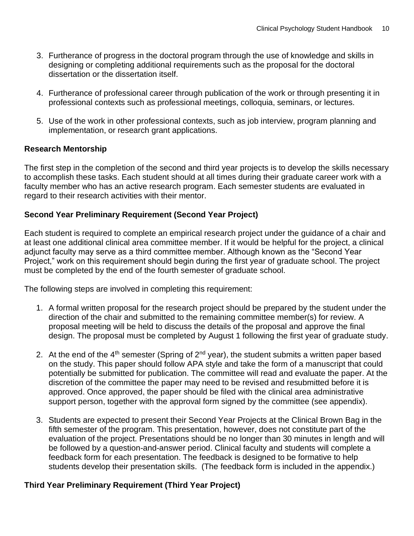- 3. Furtherance of progress in the doctoral program through the use of knowledge and skills in designing or completing additional requirements such as the proposal for the doctoral dissertation or the dissertation itself.
- 4. Furtherance of professional career through publication of the work or through presenting it in professional contexts such as professional meetings, colloquia, seminars, or lectures.
- 5. Use of the work in other professional contexts, such as job interview, program planning and implementation, or research grant applications.

#### **Research Mentorship**

The first step in the completion of the second and third year projects is to develop the skills necessary to accomplish these tasks. Each student should at all times during their graduate career work with a faculty member who has an active research program. Each semester students are evaluated in regard to their research activities with their mentor.

#### **Second Year Preliminary Requirement (Second Year Project)**

Each student is required to complete an empirical research project under the guidance of a chair and at least one additional clinical area committee member. If it would be helpful for the project, a clinical adjunct faculty may serve as a third committee member. Although known as the "Second Year Project," work on this requirement should begin during the first year of graduate school. The project must be completed by the end of the fourth semester of graduate school.

The following steps are involved in completing this requirement:

- 1. A formal written proposal for the research project should be prepared by the student under the direction of the chair and submitted to the remaining committee member(s) for review. A proposal meeting will be held to discuss the details of the proposal and approve the final design. The proposal must be completed by August 1 following the first year of graduate study.
- 2. At the end of the  $4<sup>th</sup>$  semester (Spring of  $2<sup>nd</sup>$  year), the student submits a written paper based on the study. This paper should follow APA style and take the form of a manuscript that could potentially be submitted for publication. The committee will read and evaluate the paper. At the discretion of the committee the paper may need to be revised and resubmitted before it is approved. Once approved, the paper should be filed with the clinical area administrative support person, together with the approval form signed by the committee (see appendix).
- 3. Students are expected to present their Second Year Projects at the Clinical Brown Bag in the fifth semester of the program. This presentation, however, does not constitute part of the evaluation of the project. Presentations should be no longer than 30 minutes in length and will be followed by a question-and-answer period. Clinical faculty and students will complete a feedback form for each presentation. The feedback is designed to be formative to help students develop their presentation skills. (The feedback form is included in the appendix.)

#### **Third Year Preliminary Requirement (Third Year Project)**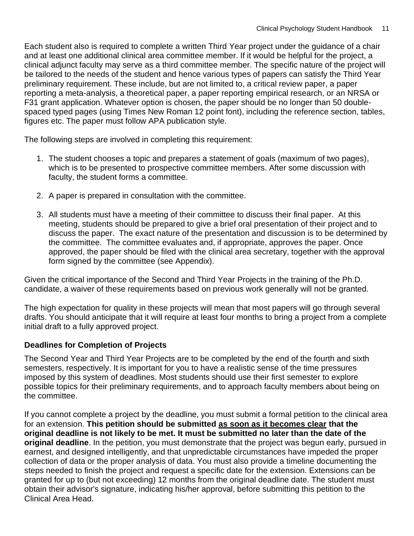Each student also is required to complete a written Third Year project under the guidance of a chair and at least one additional clinical area committee member. If it would be helpful for the project, a clinical adjunct faculty may serve as a third committee member. The specific nature of the project will be tailored to the needs of the student and hence various types of papers can satisfy the Third Year preliminary requirement. These include, but are not limited to, a critical review paper, a paper reporting a meta-analysis, a theoretical paper, a paper reporting empirical research, or an NRSA or F31 grant application. Whatever option is chosen, the paper should be no longer than 50 doublespaced typed pages (using Times New Roman 12 point font), including the reference section, tables, figures etc. The paper must follow APA publication style.

The following steps are involved in completing this requirement:

- 1. The student chooses a topic and prepares a statement of goals (maximum of two pages), which is to be presented to prospective committee members. After some discussion with faculty, the student forms a committee.
- 2. A paper is prepared in consultation with the committee.
- 3. All students must have a meeting of their committee to discuss their final paper. At this meeting, students should be prepared to give a brief oral presentation of their project and to discuss the paper. The exact nature of the presentation and discussion is to be determined by the committee. The committee evaluates and, if appropriate, approves the paper. Once approved, the paper should be filed with the clinical area secretary, together with the approval form signed by the committee (see Appendix).

Given the critical importance of the Second and Third Year Projects in the training of the Ph.D. candidate, a waiver of these requirements based on previous work generally will not be granted.

The high expectation for quality in these projects will mean that most papers will go through several drafts. You should anticipate that it will require at least four months to bring a project from a complete initial draft to a fully approved project.

#### **Deadlines for Completion of Projects**

The Second Year and Third Year Projects are to be completed by the end of the fourth and sixth semesters, respectively. It is important for you to have a realistic sense of the time pressures imposed by this system of deadlines. Most students should use their first semester to explore possible topics for their preliminary requirements, and to approach faculty members about being on the committee.

If you cannot complete a project by the deadline, you must submit a formal petition to the clinical area for an extension. **This petition should be submitted as soon as it becomes clear that the original deadline is not likely to be met. It must be submitted no later than the date of the original deadline**. In the petition, you must demonstrate that the project was begun early, pursued in earnest, and designed intelligently, and that unpredictable circumstances have impeded the proper collection of data or the proper analysis of data. You must also provide a timeline documenting the steps needed to finish the project and request a specific date for the extension. Extensions can be granted for up to (but not exceeding) 12 months from the original deadline date. The student must obtain their advisor's signature, indicating his/her approval, before submitting this petition to the Clinical Area Head.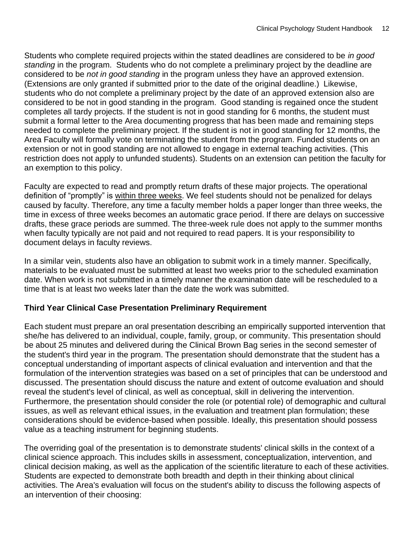Students who complete required projects within the stated deadlines are considered to be *in good standing* in the program. Students who do not complete a preliminary project by the deadline are considered to be *not in good standing* in the program unless they have an approved extension. (Extensions are only granted if submitted prior to the date of the original deadline.) Likewise, students who do not complete a preliminary project by the date of an approved extension also are considered to be not in good standing in the program. Good standing is regained once the student completes all tardy projects. If the student is not in good standing for 6 months, the student must submit a formal letter to the Area documenting progress that has been made and remaining steps needed to complete the preliminary project. If the student is not in good standing for 12 months, the Area Faculty will formally vote on terminating the student from the program. Funded students on an extension or not in good standing are not allowed to engage in external teaching activities. (This restriction does not apply to unfunded students). Students on an extension can petition the faculty for an exemption to this policy.

Faculty are expected to read and promptly return drafts of these major projects. The operational definition of "promptly" is within three weeks. We feel students should not be penalized for delays caused by faculty. Therefore, any time a faculty member holds a paper longer than three weeks, the time in excess of three weeks becomes an automatic grace period. If there are delays on successive drafts, these grace periods are summed. The three-week rule does not apply to the summer months when faculty typically are not paid and not required to read papers. It is your responsibility to document delays in faculty reviews.

In a similar vein, students also have an obligation to submit work in a timely manner. Specifically, materials to be evaluated must be submitted at least two weeks prior to the scheduled examination date. When work is not submitted in a timely manner the examination date will be rescheduled to a time that is at least two weeks later than the date the work was submitted.

#### **Third Year Clinical Case Presentation Preliminary Requirement**

Each student must prepare an oral presentation describing an empirically supported intervention that she/he has delivered to an individual, couple, family, group, or community. This presentation should be about 25 minutes and delivered during the Clinical Brown Bag series in the second semester of the student's third year in the program. The presentation should demonstrate that the student has a conceptual understanding of important aspects of clinical evaluation and intervention and that the formulation of the intervention strategies was based on a set of principles that can be understood and discussed. The presentation should discuss the nature and extent of outcome evaluation and should reveal the student's level of clinical, as well as conceptual, skill in delivering the intervention. Furthermore, the presentation should consider the role (or potential role) of demographic and cultural issues, as well as relevant ethical issues, in the evaluation and treatment plan formulation; these considerations should be evidence-based when possible. Ideally, this presentation should possess value as a teaching instrument for beginning students.

The overriding goal of the presentation is to demonstrate students' clinical skills in the context of a clinical science approach. This includes skills in assessment, conceptualization, intervention, and clinical decision making, as well as the application of the scientific literature to each of these activities. Students are expected to demonstrate both breadth and depth in their thinking about clinical activities. The Area's evaluation will focus on the student's ability to discuss the following aspects of an intervention of their choosing: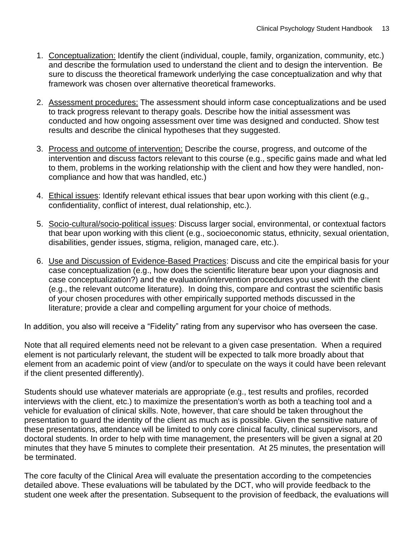- 1. Conceptualization: Identify the client (individual, couple, family, organization, community, etc.) and describe the formulation used to understand the client and to design the intervention. Be sure to discuss the theoretical framework underlying the case conceptualization and why that framework was chosen over alternative theoretical frameworks.
- 2. Assessment procedures: The assessment should inform case conceptualizations and be used to track progress relevant to therapy goals. Describe how the initial assessment was conducted and how ongoing assessment over time was designed and conducted. Show test results and describe the clinical hypotheses that they suggested.
- 3. Process and outcome of intervention: Describe the course, progress, and outcome of the intervention and discuss factors relevant to this course (e.g., specific gains made and what led to them, problems in the working relationship with the client and how they were handled, noncompliance and how that was handled, etc.)
- 4. Ethical issues: Identify relevant ethical issues that bear upon working with this client (e.g., confidentiality, conflict of interest, dual relationship, etc.).
- 5. Socio-cultural/socio-political issues: Discuss larger social, environmental, or contextual factors that bear upon working with this client (e.g., socioeconomic status, ethnicity, sexual orientation, disabilities, gender issues, stigma, religion, managed care, etc.).
- 6. Use and Discussion of Evidence-Based Practices: Discuss and cite the empirical basis for your case conceptualization (e.g., how does the scientific literature bear upon your diagnosis and case conceptualization?) and the evaluation/intervention procedures you used with the client (e.g., the relevant outcome literature). In doing this, compare and contrast the scientific basis of your chosen procedures with other empirically supported methods discussed in the literature; provide a clear and compelling argument for your choice of methods.

In addition, you also will receive a "Fidelity" rating from any supervisor who has overseen the case.

Note that all required elements need not be relevant to a given case presentation. When a required element is not particularly relevant, the student will be expected to talk more broadly about that element from an academic point of view (and/or to speculate on the ways it could have been relevant if the client presented differently).

Students should use whatever materials are appropriate (e.g., test results and profiles, recorded interviews with the client, etc.) to maximize the presentation's worth as both a teaching tool and a vehicle for evaluation of clinical skills. Note, however, that care should be taken throughout the presentation to guard the identity of the client as much as is possible. Given the sensitive nature of these presentations, attendance will be limited to only core clinical faculty, clinical supervisors, and doctoral students. In order to help with time management, the presenters will be given a signal at 20 minutes that they have 5 minutes to complete their presentation. At 25 minutes, the presentation will be terminated.

The core faculty of the Clinical Area will evaluate the presentation according to the competencies detailed above. These evaluations will be tabulated by the DCT, who will provide feedback to the student one week after the presentation. Subsequent to the provision of feedback, the evaluations will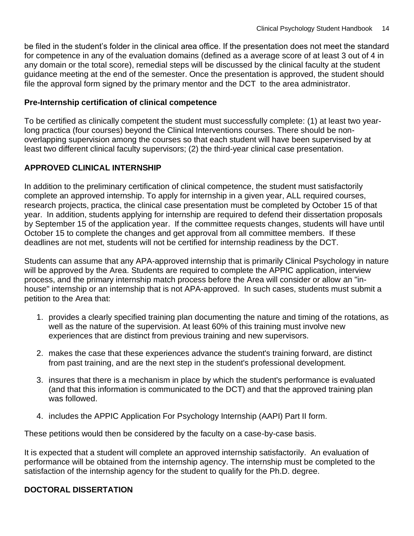be filed in the student's folder in the clinical area office. If the presentation does not meet the standard for competence in any of the evaluation domains (defined as a average score of at least 3 out of 4 in any domain or the total score), remedial steps will be discussed by the clinical faculty at the student guidance meeting at the end of the semester. Once the presentation is approved, the student should file the approval form signed by the primary mentor and the DCT to the area administrator.

#### **Pre-Internship certification of clinical competence**

To be certified as clinically competent the student must successfully complete: (1) at least two yearlong practica (four courses) beyond the Clinical Interventions courses. There should be nonoverlapping supervision among the courses so that each student will have been supervised by at least two different clinical faculty supervisors; (2) the third-year clinical case presentation.

#### **APPROVED CLINICAL INTERNSHIP**

In addition to the preliminary certification of clinical competence, the student must satisfactorily complete an approved internship. To apply for internship in a given year, ALL required courses, research projects, practica, the clinical case presentation must be completed by October 15 of that year. In addition, students applying for internship are required to defend their dissertation proposals by September 15 of the application year. If the committee requests changes, students will have until October 15 to complete the changes and get approval from all committee members. If these deadlines are not met, students will not be certified for internship readiness by the DCT.

Students can assume that any APA-approved internship that is primarily Clinical Psychology in nature will be approved by the Area. Students are required to complete the APPIC application, interview process, and the primary internship match process before the Area will consider or allow an "inhouse" internship or an internship that is not APA-approved. In such cases, students must submit a petition to the Area that:

- 1. provides a clearly specified training plan documenting the nature and timing of the rotations, as well as the nature of the supervision. At least 60% of this training must involve new experiences that are distinct from previous training and new supervisors.
- 2. makes the case that these experiences advance the student's training forward, are distinct from past training, and are the next step in the student's professional development.
- 3. insures that there is a mechanism in place by which the student's performance is evaluated (and that this information is communicated to the DCT) and that the approved training plan was followed.
- 4. includes the APPIC Application For Psychology Internship (AAPI) Part II form.

These petitions would then be considered by the faculty on a case-by-case basis.

It is expected that a student will complete an approved internship satisfactorily. An evaluation of performance will be obtained from the internship agency. The internship must be completed to the satisfaction of the internship agency for the student to qualify for the Ph.D. degree.

#### **DOCTORAL DISSERTATION**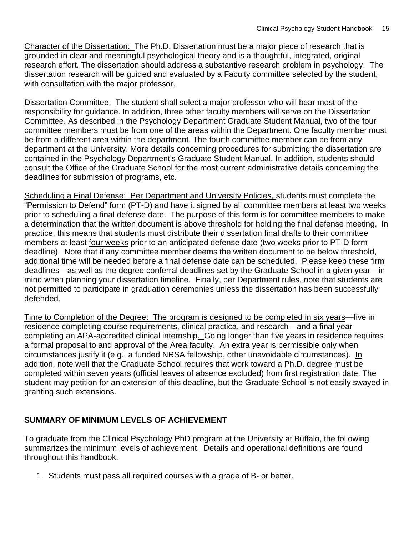Character of the Dissertation: The Ph.D. Dissertation must be a major piece of research that is grounded in clear and meaningful psychological theory and is a thoughtful, integrated, original research effort. The dissertation should address a substantive research problem in psychology. The dissertation research will be guided and evaluated by a Faculty committee selected by the student, with consultation with the major professor.

Dissertation Committee: The student shall select a major professor who will bear most of the responsibility for guidance. In addition, three other faculty members will serve on the Dissertation Committee. As described in the Psychology Department Graduate Student Manual, two of the four committee members must be from one of the areas within the Department. One faculty member must be from a different area within the department. The fourth committee member can be from any department at the University. More details concerning procedures for submitting the dissertation are contained in the Psychology Department's Graduate Student Manual. In addition, students should consult the Office of the Graduate School for the most current administrative details concerning the deadlines for submission of programs, etc.

Scheduling a Final Defense: Per Department and University Policies, students must complete the "Permission to Defend" form (PT-D) and have it signed by all committee members at least two weeks prior to scheduling a final defense date. The purpose of this form is for committee members to make a determination that the written document is above threshold for holding the final defense meeting. In practice, this means that students must distribute their dissertation final drafts to their committee members at least four weeks prior to an anticipated defense date (two weeks prior to PT-D form deadline). Note that if any committee member deems the written document to be below threshold, additional time will be needed before a final defense date can be scheduled. Please keep these firm deadlines—as well as the degree conferral deadlines set by the Graduate School in a given year—in mind when planning your dissertation timeline. Finally, per Department rules, note that students are not permitted to participate in graduation ceremonies unless the dissertation has been successfully defended.

Time to Completion of the Degree: The program is designed to be completed in six years—five in residence completing course requirements, clinical practica, and research—and a final year completing an APA-accredited clinical internship. Going longer than five years in residence requires a formal proposal to and approval of the Area faculty. An extra year is permissible only when circumstances justify it (e.g., a funded NRSA fellowship, other unavoidable circumstances). In addition, note well that the Graduate School requires that work toward a Ph.D. degree must be completed within seven years (official leaves of absence excluded) from first registration date. The student may petition for an extension of this deadline, but the Graduate School is not easily swayed in granting such extensions.

#### **SUMMARY OF MINIMUM LEVELS OF ACHIEVEMENT**

To graduate from the Clinical Psychology PhD program at the University at Buffalo, the following summarizes the minimum levels of achievement. Details and operational definitions are found throughout this handbook.

1. Students must pass all required courses with a grade of B- or better.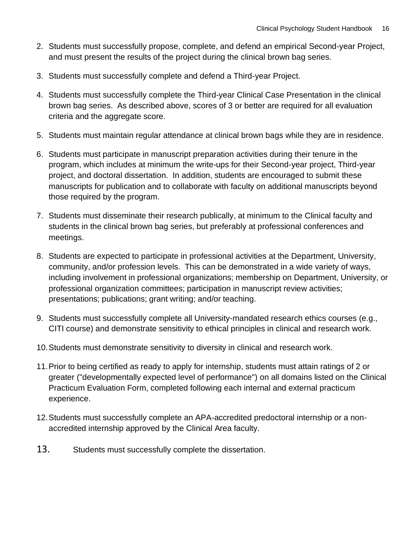- 2. Students must successfully propose, complete, and defend an empirical Second-year Project, and must present the results of the project during the clinical brown bag series.
- 3. Students must successfully complete and defend a Third-year Project.
- 4. Students must successfully complete the Third-year Clinical Case Presentation in the clinical brown bag series. As described above, scores of 3 or better are required for all evaluation criteria and the aggregate score.
- 5. Students must maintain regular attendance at clinical brown bags while they are in residence.
- 6. Students must participate in manuscript preparation activities during their tenure in the program, which includes at minimum the write-ups for their Second-year project, Third-year project, and doctoral dissertation. In addition, students are encouraged to submit these manuscripts for publication and to collaborate with faculty on additional manuscripts beyond those required by the program.
- 7. Students must disseminate their research publically, at minimum to the Clinical faculty and students in the clinical brown bag series, but preferably at professional conferences and meetings.
- 8. Students are expected to participate in professional activities at the Department, University, community, and/or profession levels. This can be demonstrated in a wide variety of ways, including involvement in professional organizations; membership on Department, University, or professional organization committees; participation in manuscript review activities; presentations; publications; grant writing; and/or teaching.
- 9. Students must successfully complete all University-mandated research ethics courses (e.g., CITI course) and demonstrate sensitivity to ethical principles in clinical and research work.
- 10.Students must demonstrate sensitivity to diversity in clinical and research work.
- 11.Prior to being certified as ready to apply for internship, students must attain ratings of 2 or greater ("developmentally expected level of performance") on all domains listed on the Clinical Practicum Evaluation Form, completed following each internal and external practicum experience.
- 12.Students must successfully complete an APA-accredited predoctoral internship or a nonaccredited internship approved by the Clinical Area faculty.
- 13. Students must successfully complete the dissertation.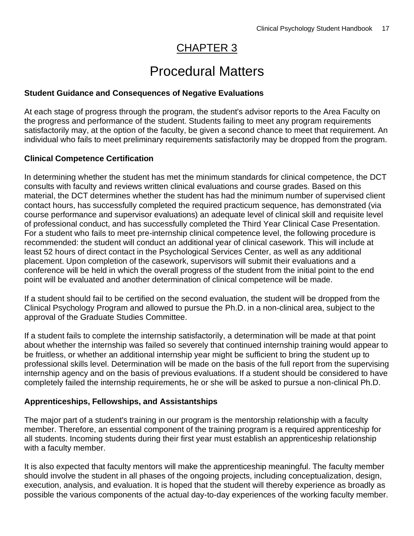### CHAPTER 3

# Procedural Matters

#### **Student Guidance and Consequences of Negative Evaluations**

At each stage of progress through the program, the student's advisor reports to the Area Faculty on the progress and performance of the student. Students failing to meet any program requirements satisfactorily may, at the option of the faculty, be given a second chance to meet that requirement. An individual who fails to meet preliminary requirements satisfactorily may be dropped from the program.

#### **Clinical Competence Certification**

In determining whether the student has met the minimum standards for clinical competence, the DCT consults with faculty and reviews written clinical evaluations and course grades. Based on this material, the DCT determines whether the student has had the minimum number of supervised client contact hours, has successfully completed the required practicum sequence, has demonstrated (via course performance and supervisor evaluations) an adequate level of clinical skill and requisite level of professional conduct, and has successfully completed the Third Year Clinical Case Presentation. For a student who fails to meet pre-internship clinical competence level, the following procedure is recommended: the student will conduct an additional year of clinical casework. This will include at least 52 hours of direct contact in the Psychological Services Center, as well as any additional placement. Upon completion of the casework, supervisors will submit their evaluations and a conference will be held in which the overall progress of the student from the initial point to the end point will be evaluated and another determination of clinical competence will be made.

If a student should fail to be certified on the second evaluation, the student will be dropped from the Clinical Psychology Program and allowed to pursue the Ph.D. in a non-clinical area, subject to the approval of the Graduate Studies Committee.

If a student fails to complete the internship satisfactorily, a determination will be made at that point about whether the internship was failed so severely that continued internship training would appear to be fruitless, or whether an additional internship year might be sufficient to bring the student up to professional skills level. Determination will be made on the basis of the full report from the supervising internship agency and on the basis of previous evaluations. If a student should be considered to have completely failed the internship requirements, he or she will be asked to pursue a non-clinical Ph.D.

#### **Apprenticeships, Fellowships, and Assistantships**

The major part of a student's training in our program is the mentorship relationship with a faculty member. Therefore, an essential component of the training program is a required apprenticeship for all students. Incoming students during their first year must establish an apprenticeship relationship with a faculty member.

It is also expected that faculty mentors will make the apprenticeship meaningful. The faculty member should involve the student in all phases of the ongoing projects, including conceptualization, design, execution, analysis, and evaluation. It is hoped that the student will thereby experience as broadly as possible the various components of the actual day-to-day experiences of the working faculty member.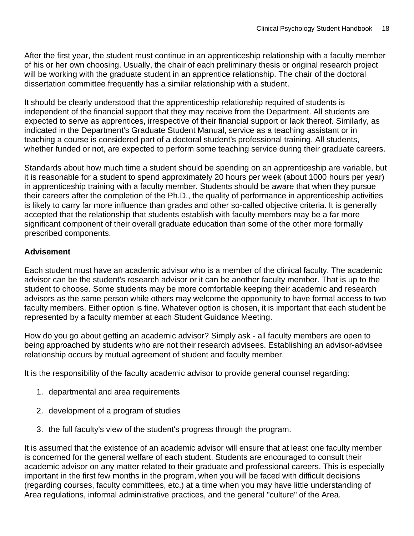After the first year, the student must continue in an apprenticeship relationship with a faculty member of his or her own choosing. Usually, the chair of each preliminary thesis or original research project will be working with the graduate student in an apprentice relationship. The chair of the doctoral dissertation committee frequently has a similar relationship with a student.

It should be clearly understood that the apprenticeship relationship required of students is independent of the financial support that they may receive from the Department. All students are expected to serve as apprentices, irrespective of their financial support or lack thereof. Similarly, as indicated in the Department's Graduate Student Manual, service as a teaching assistant or in teaching a course is considered part of a doctoral student's professional training. All students, whether funded or not, are expected to perform some teaching service during their graduate careers.

Standards about how much time a student should be spending on an apprenticeship are variable, but it is reasonable for a student to spend approximately 20 hours per week (about 1000 hours per year) in apprenticeship training with a faculty member. Students should be aware that when they pursue their careers after the completion of the Ph.D., the quality of performance in apprenticeship activities is likely to carry far more influence than grades and other so-called objective criteria. It is generally accepted that the relationship that students establish with faculty members may be a far more significant component of their overall graduate education than some of the other more formally prescribed components.

#### **Advisement**

Each student must have an academic advisor who is a member of the clinical faculty. The academic advisor can be the student's research advisor or it can be another faculty member. That is up to the student to choose. Some students may be more comfortable keeping their academic and research advisors as the same person while others may welcome the opportunity to have formal access to two faculty members. Either option is fine. Whatever option is chosen, it is important that each student be represented by a faculty member at each Student Guidance Meeting.

How do you go about getting an academic advisor? Simply ask - all faculty members are open to being approached by students who are not their research advisees. Establishing an advisor-advisee relationship occurs by mutual agreement of student and faculty member.

It is the responsibility of the faculty academic advisor to provide general counsel regarding:

- 1. departmental and area requirements
- 2. development of a program of studies
- 3. the full faculty's view of the student's progress through the program.

It is assumed that the existence of an academic advisor will ensure that at least one faculty member is concerned for the general welfare of each student. Students are encouraged to consult their academic advisor on any matter related to their graduate and professional careers. This is especially important in the first few months in the program, when you will be faced with difficult decisions (regarding courses, faculty committees, etc.) at a time when you may have little understanding of Area regulations, informal administrative practices, and the general "culture" of the Area.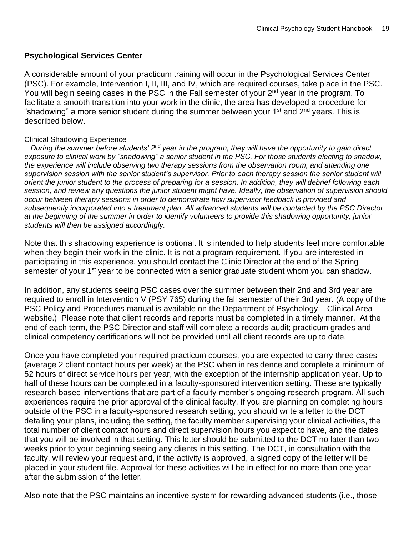#### **Psychological Services Center**

A considerable amount of your practicum training will occur in the Psychological Services Center (PSC). For example, Intervention I, II, III, and IV, which are required courses, take place in the PSC. You will begin seeing cases in the PSC in the Fall semester of your 2<sup>nd</sup> year in the program. To facilitate a smooth transition into your work in the clinic, the area has developed a procedure for "shadowing" a more senior student during the summer between your  $1<sup>st</sup>$  and  $2<sup>nd</sup>$  years. This is described below.

#### Clinical Shadowing Experience

 *During the summer before students' 2nd year in the program, they will have the opportunity to gain direct exposure to clinical work by "shadowing" a senior student in the PSC. For those students electing to shadow, the experience will include observing two therapy sessions from the observation room, and attending one supervision session with the senior student's supervisor. Prior to each therapy session the senior student will orient the junior student to the process of preparing for a session. In addition, they will debrief following each session, and review any questions the junior student might have. Ideally, the observation of supervision should occur between therapy sessions in order to demonstrate how supervisor feedback is provided and subsequently incorporated into a treatment plan. All advanced students will be contacted by the PSC Director at the beginning of the summer in order to identify volunteers to provide this shadowing opportunity; junior students will then be assigned accordingly.* 

Note that this shadowing experience is optional. It is intended to help students feel more comfortable when they begin their work in the clinic. It is not a program requirement. If you are interested in participating in this experience, you should contact the Clinic Director at the end of the Spring semester of your 1<sup>st</sup> year to be connected with a senior graduate student whom you can shadow.

In addition, any students seeing PSC cases over the summer between their 2nd and 3rd year are required to enroll in Intervention V (PSY 765) during the fall semester of their 3rd year. (A copy of the PSC Policy and Procedures manual is available on the Department of Psychology – Clinical Area website.) Please note that client records and reports must be completed in a timely manner. At the end of each term, the PSC Director and staff will complete a records audit; practicum grades and clinical competency certifications will not be provided until all client records are up to date.

Once you have completed your required practicum courses, you are expected to carry three cases (average 2 client contact hours per week) at the PSC when in residence and complete a minimum of 52 hours of direct service hours per year, with the exception of the internship application year. Up to half of these hours can be completed in a faculty-sponsored intervention setting. These are typically research-based interventions that are part of a faculty member's ongoing research program. All such experiences require the prior approval of the clinical faculty. If you are planning on completing hours outside of the PSC in a faculty-sponsored research setting, you should write a letter to the DCT detailing your plans, including the setting, the faculty member supervising your clinical activities, the total number of client contact hours and direct supervision hours you expect to have, and the dates that you will be involved in that setting. This letter should be submitted to the DCT no later than two weeks prior to your beginning seeing any clients in this setting. The DCT, in consultation with the faculty, will review your request and, if the activity is approved, a signed copy of the letter will be placed in your student file. Approval for these activities will be in effect for no more than one year after the submission of the letter.

Also note that the PSC maintains an incentive system for rewarding advanced students (i.e., those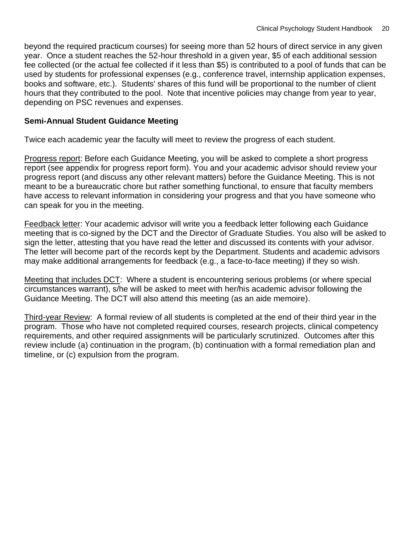beyond the required practicum courses) for seeing more than 52 hours of direct service in any given year. Once a student reaches the 52-hour threshold in a given year, \$5 of each additional session fee collected (or the actual fee collected if it less than \$5) is contributed to a pool of funds that can be used by students for professional expenses (e.g., conference travel, internship application expenses, books and software, etc.). Students' shares of this fund will be proportional to the number of client hours that they contributed to the pool. Note that incentive policies may change from year to year, depending on PSC revenues and expenses.

#### **Semi-Annual Student Guidance Meeting**

Twice each academic year the faculty will meet to review the progress of each student.

Progress report: Before each Guidance Meeting, you will be asked to complete a short progress report (see appendix for progress report form). You and your academic advisor should review your progress report (and discuss any other relevant matters) before the Guidance Meeting. This is not meant to be a bureaucratic chore but rather something functional, to ensure that faculty members have access to relevant information in considering your progress and that you have someone who can speak for you in the meeting.

Feedback letter: Your academic advisor will write you a feedback letter following each Guidance meeting that is co-signed by the DCT and the Director of Graduate Studies. You also will be asked to sign the letter, attesting that you have read the letter and discussed its contents with your advisor. The letter will become part of the records kept by the Department. Students and academic advisors may make additional arrangements for feedback (e.g., a face-to-face meeting) if they so wish.

Meeting that includes DCT: Where a student is encountering serious problems (or where special circumstances warrant), s/he will be asked to meet with her/his academic advisor following the Guidance Meeting. The DCT will also attend this meeting (as an aide memoire).

Third-year Review: A formal review of all students is completed at the end of their third year in the program. Those who have not completed required courses, research projects, clinical competency requirements, and other required assignments will be particularly scrutinized. Outcomes after this review include (a) continuation in the program, (b) continuation with a formal remediation plan and timeline, or (c) expulsion from the program.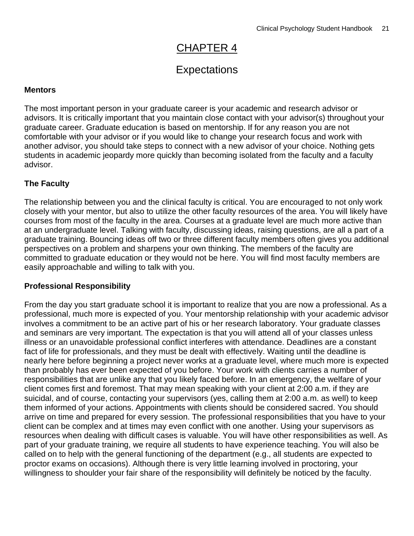# CHAPTER 4

### **Expectations**

#### **Mentors**

The most important person in your graduate career is your academic and research advisor or advisors. It is critically important that you maintain close contact with your advisor(s) throughout your graduate career. Graduate education is based on mentorship. If for any reason you are not comfortable with your advisor or if you would like to change your research focus and work with another advisor, you should take steps to connect with a new advisor of your choice. Nothing gets students in academic jeopardy more quickly than becoming isolated from the faculty and a faculty advisor.

#### **The Faculty**

The relationship between you and the clinical faculty is critical. You are encouraged to not only work closely with your mentor, but also to utilize the other faculty resources of the area. You will likely have courses from most of the faculty in the area. Courses at a graduate level are much more active than at an undergraduate level. Talking with faculty, discussing ideas, raising questions, are all a part of a graduate training. Bouncing ideas off two or three different faculty members often gives you additional perspectives on a problem and sharpens your own thinking. The members of the faculty are committed to graduate education or they would not be here. You will find most faculty members are easily approachable and willing to talk with you.

#### **Professional Responsibility**

From the day you start graduate school it is important to realize that you are now a professional. As a professional, much more is expected of you. Your mentorship relationship with your academic advisor involves a commitment to be an active part of his or her research laboratory. Your graduate classes and seminars are very important. The expectation is that you will attend all of your classes unless illness or an unavoidable professional conflict interferes with attendance. Deadlines are a constant fact of life for professionals, and they must be dealt with effectively. Waiting until the deadline is nearly here before beginning a project never works at a graduate level, where much more is expected than probably has ever been expected of you before. Your work with clients carries a number of responsibilities that are unlike any that you likely faced before. In an emergency, the welfare of your client comes first and foremost. That may mean speaking with your client at 2:00 a.m. if they are suicidal, and of course, contacting your supervisors (yes, calling them at 2:00 a.m. as well) to keep them informed of your actions. Appointments with clients should be considered sacred. You should arrive on time and prepared for every session. The professional responsibilities that you have to your client can be complex and at times may even conflict with one another. Using your supervisors as resources when dealing with difficult cases is valuable. You will have other responsibilities as well. As part of your graduate training, we require all students to have experience teaching. You will also be called on to help with the general functioning of the department (e.g., all students are expected to proctor exams on occasions). Although there is very little learning involved in proctoring, your willingness to shoulder your fair share of the responsibility will definitely be noticed by the faculty.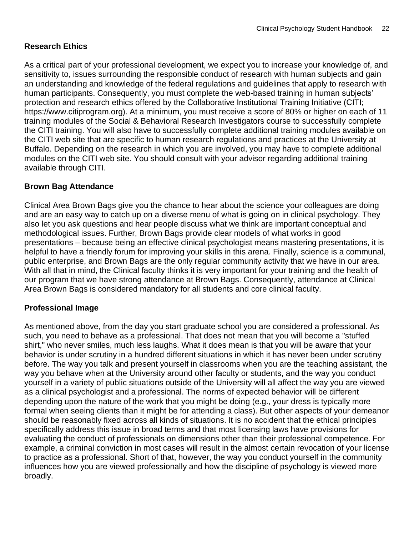#### **Research Ethics**

As a critical part of your professional development, we expect you to increase your knowledge of, and sensitivity to, issues surrounding the responsible conduct of research with human subjects and gain an understanding and knowledge of the federal regulations and guidelines that apply to research with human participants. Consequently, you must complete the web-based training in human subjects' protection and research ethics offered by the Collaborative Institutional Training Initiative (CITI; https://www.citiprogram.org). At a minimum, you must receive a score of 80% or higher on each of 11 training modules of the Social & Behavioral Research Investigators course to successfully complete the CITI training. You will also have to successfully complete additional training modules available on the CITI web site that are specific to human research regulations and practices at the University at Buffalo. Depending on the research in which you are involved, you may have to complete additional modules on the CITI web site. You should consult with your advisor regarding additional training available through CITI.

#### **Brown Bag Attendance**

Clinical Area Brown Bags give you the chance to hear about the science your colleagues are doing and are an easy way to catch up on a diverse menu of what is going on in clinical psychology. They also let you ask questions and hear people discuss what we think are important conceptual and methodological issues. Further, Brown Bags provide clear models of what works in good presentations – because being an effective clinical psychologist means mastering presentations, it is helpful to have a friendly forum for improving your skills in this arena. Finally, science is a communal, public enterprise, and Brown Bags are the only regular community activity that we have in our area. With all that in mind, the Clinical faculty thinks it is very important for your training and the health of our program that we have strong attendance at Brown Bags. Consequently, attendance at Clinical Area Brown Bags is considered mandatory for all students and core clinical faculty.

#### **Professional Image**

As mentioned above, from the day you start graduate school you are considered a professional. As such, you need to behave as a professional. That does not mean that you will become a "stuffed shirt," who never smiles, much less laughs. What it does mean is that you will be aware that your behavior is under scrutiny in a hundred different situations in which it has never been under scrutiny before. The way you talk and present yourself in classrooms when you are the teaching assistant, the way you behave when at the University around other faculty or students, and the way you conduct yourself in a variety of public situations outside of the University will all affect the way you are viewed as a clinical psychologist and a professional. The norms of expected behavior will be different depending upon the nature of the work that you might be doing (e.g., your dress is typically more formal when seeing clients than it might be for attending a class). But other aspects of your demeanor should be reasonably fixed across all kinds of situations. It is no accident that the ethical principles specifically address this issue in broad terms and that most licensing laws have provisions for evaluating the conduct of professionals on dimensions other than their professional competence. For example, a criminal conviction in most cases will result in the almost certain revocation of your license to practice as a professional. Short of that, however, the way you conduct yourself in the community influences how you are viewed professionally and how the discipline of psychology is viewed more broadly.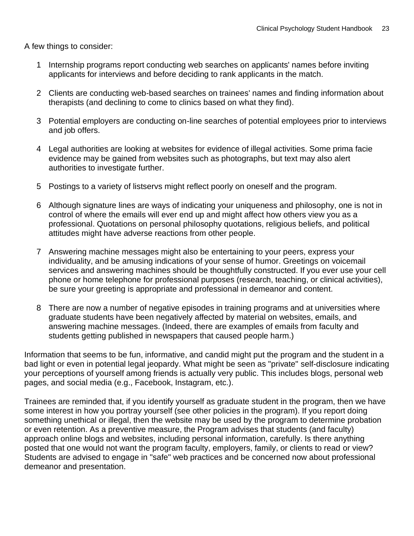A few things to consider:

- 1 Internship programs report conducting web searches on applicants' names before inviting applicants for interviews and before deciding to rank applicants in the match.
- 2 Clients are conducting web-based searches on trainees' names and finding information about therapists (and declining to come to clinics based on what they find).
- 3 Potential employers are conducting on-line searches of potential employees prior to interviews and job offers.
- 4 Legal authorities are looking at websites for evidence of illegal activities. Some prima facie evidence may be gained from websites such as photographs, but text may also alert authorities to investigate further.
- 5 Postings to a variety of listservs might reflect poorly on oneself and the program.
- 6 Although signature lines are ways of indicating your uniqueness and philosophy, one is not in control of where the emails will ever end up and might affect how others view you as a professional. Quotations on personal philosophy quotations, religious beliefs, and political attitudes might have adverse reactions from other people.
- 7 Answering machine messages might also be entertaining to your peers, express your individuality, and be amusing indications of your sense of humor. Greetings on voicemail services and answering machines should be thoughtfully constructed. If you ever use your cell phone or home telephone for professional purposes (research, teaching, or clinical activities), be sure your greeting is appropriate and professional in demeanor and content.
- 8 There are now a number of negative episodes in training programs and at universities where graduate students have been negatively affected by material on websites, emails, and answering machine messages. (Indeed, there are examples of emails from faculty and students getting published in newspapers that caused people harm.)

Information that seems to be fun, informative, and candid might put the program and the student in a bad light or even in potential legal jeopardy. What might be seen as "private" self-disclosure indicating your perceptions of yourself among friends is actually very public. This includes blogs, personal web pages, and social media (e.g., Facebook, Instagram, etc.).

Trainees are reminded that, if you identify yourself as graduate student in the program, then we have some interest in how you portray yourself (see other policies in the program). If you report doing something unethical or illegal, then the website may be used by the program to determine probation or even retention. As a preventive measure, the Program advises that students (and faculty) approach online blogs and websites, including personal information, carefully. Is there anything posted that one would not want the program faculty, employers, family, or clients to read or view? Students are advised to engage in "safe" web practices and be concerned now about professional demeanor and presentation.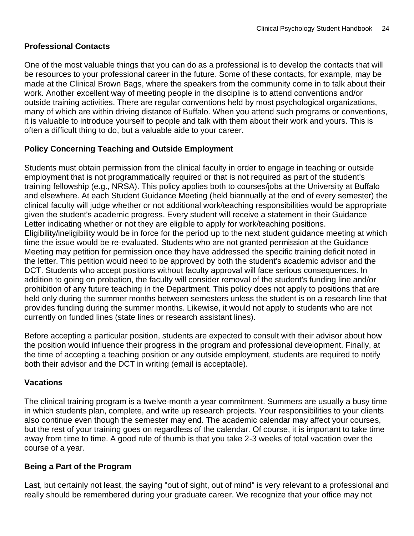#### **Professional Contacts**

One of the most valuable things that you can do as a professional is to develop the contacts that will be resources to your professional career in the future. Some of these contacts, for example, may be made at the Clinical Brown Bags, where the speakers from the community come in to talk about their work. Another excellent way of meeting people in the discipline is to attend conventions and/or outside training activities. There are regular conventions held by most psychological organizations, many of which are within driving distance of Buffalo. When you attend such programs or conventions, it is valuable to introduce yourself to people and talk with them about their work and yours. This is often a difficult thing to do, but a valuable aide to your career.

#### **Policy Concerning Teaching and Outside Employment**

Students must obtain permission from the clinical faculty in order to engage in teaching or outside employment that is not programmatically required or that is not required as part of the student's training fellowship (e.g., NRSA). This policy applies both to courses/jobs at the University at Buffalo and elsewhere. At each Student Guidance Meeting (held biannually at the end of every semester) the clinical faculty will judge whether or not additional work/teaching responsibilities would be appropriate given the student's academic progress. Every student will receive a statement in their Guidance Letter indicating whether or not they are eligible to apply for work/teaching positions. Eligibility/ineligibility would be in force for the period up to the next student guidance meeting at which time the issue would be re-evaluated. Students who are not granted permission at the Guidance Meeting may petition for permission once they have addressed the specific training deficit noted in the letter. This petition would need to be approved by both the student's academic advisor and the DCT. Students who accept positions without faculty approval will face serious consequences. In addition to going on probation, the faculty will consider removal of the student's funding line and/or prohibition of any future teaching in the Department. This policy does not apply to positions that are held only during the summer months between semesters unless the student is on a research line that provides funding during the summer months. Likewise, it would not apply to students who are not currently on funded lines (state lines or research assistant lines).

Before accepting a particular position, students are expected to consult with their advisor about how the position would influence their progress in the program and professional development. Finally, at the time of accepting a teaching position or any outside employment, students are required to notify both their advisor and the DCT in writing (email is acceptable).

#### **Vacations**

The clinical training program is a twelve-month a year commitment. Summers are usually a busy time in which students plan, complete, and write up research projects. Your responsibilities to your clients also continue even though the semester may end. The academic calendar may affect your courses, but the rest of your training goes on regardless of the calendar. Of course, it is important to take time away from time to time. A good rule of thumb is that you take 2-3 weeks of total vacation over the course of a year.

#### **Being a Part of the Program**

Last, but certainly not least, the saying "out of sight, out of mind" is very relevant to a professional and really should be remembered during your graduate career. We recognize that your office may not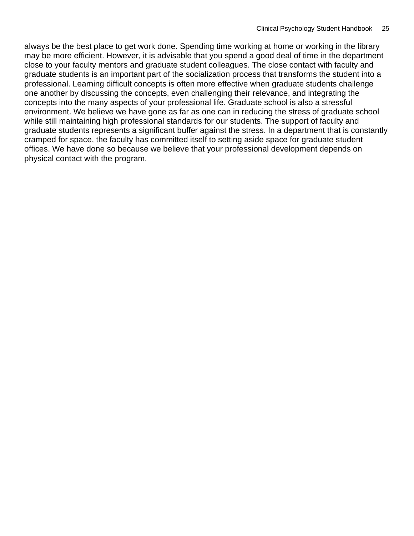always be the best place to get work done. Spending time working at home or working in the library may be more efficient. However, it is advisable that you spend a good deal of time in the department close to your faculty mentors and graduate student colleagues. The close contact with faculty and graduate students is an important part of the socialization process that transforms the student into a professional. Learning difficult concepts is often more effective when graduate students challenge one another by discussing the concepts, even challenging their relevance, and integrating the concepts into the many aspects of your professional life. Graduate school is also a stressful environment. We believe we have gone as far as one can in reducing the stress of graduate school while still maintaining high professional standards for our students. The support of faculty and graduate students represents a significant buffer against the stress. In a department that is constantly cramped for space, the faculty has committed itself to setting aside space for graduate student offices. We have done so because we believe that your professional development depends on physical contact with the program.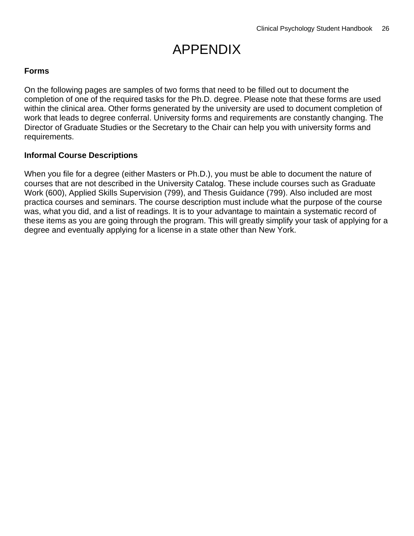# APPENDIX

#### **Forms**

On the following pages are samples of two forms that need to be filled out to document the completion of one of the required tasks for the Ph.D. degree. Please note that these forms are used within the clinical area. Other forms generated by the university are used to document completion of work that leads to degree conferral. University forms and requirements are constantly changing. The Director of Graduate Studies or the Secretary to the Chair can help you with university forms and requirements.

#### **Informal Course Descriptions**

When you file for a degree (either Masters or Ph.D.), you must be able to document the nature of courses that are not described in the University Catalog. These include courses such as Graduate Work (600), Applied Skills Supervision (799), and Thesis Guidance (799). Also included are most practica courses and seminars. The course description must include what the purpose of the course was, what you did, and a list of readings. It is to your advantage to maintain a systematic record of these items as you are going through the program. This will greatly simplify your task of applying for a degree and eventually applying for a license in a state other than New York.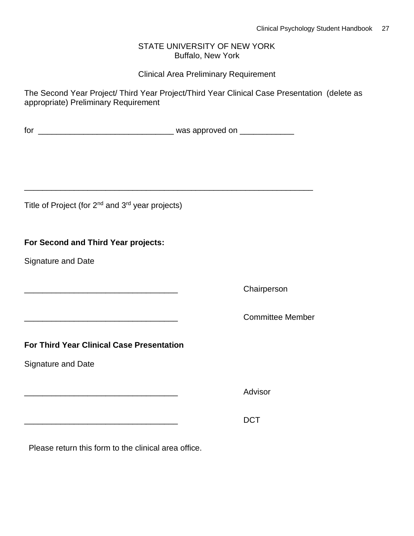#### STATE UNIVERSITY OF NEW YORK Buffalo, New York

#### Clinical Area Preliminary Requirement

The Second Year Project/ Third Year Project/Third Year Clinical Case Presentation (delete as appropriate) Preliminary Requirement

| tor | was approved on |
|-----|-----------------|
|     |                 |

\_\_\_\_\_\_\_\_\_\_\_\_\_\_\_\_\_\_\_\_\_\_\_\_\_\_\_\_\_\_\_\_\_\_\_\_\_\_\_\_\_\_\_\_\_\_\_\_\_\_\_\_\_\_\_\_\_\_\_\_\_\_\_\_

Title of Project (for 2<sup>nd</sup> and 3<sup>rd</sup> year projects)

#### **For Second and Third Year projects:**

Signature and Date

\_\_\_\_\_\_\_\_\_\_\_\_\_\_\_\_\_\_\_\_\_\_\_\_\_\_\_\_\_\_\_\_\_\_ Chairperson

\_\_\_\_\_\_\_\_\_\_\_\_\_\_\_\_\_\_\_\_\_\_\_\_\_\_\_\_\_\_\_\_\_\_ Committee Member

**For Third Year Clinical Case Presentation**

Signature and Date

Advisor

\_\_\_\_\_\_\_\_\_\_\_\_\_\_\_\_\_\_\_\_\_\_\_\_\_\_\_\_\_\_\_\_\_\_ DCT

Please return this form to the clinical area office.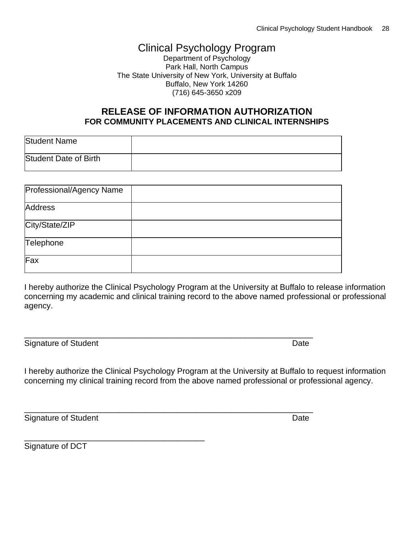### Clinical Psychology Program

Department of Psychology Park Hall, North Campus The State University of New York, University at Buffalo Buffalo, New York 14260 (716) 645-3650 x209

#### **RELEASE OF INFORMATION AUTHORIZATION FOR COMMUNITY PLACEMENTS AND CLINICAL INTERNSHIPS**

| Student Name          |  |
|-----------------------|--|
| Student Date of Birth |  |

| Professional/Agency Name |  |
|--------------------------|--|
| Address                  |  |
| City/State/ZIP           |  |
| Telephone                |  |
| Fax                      |  |

\_\_\_\_\_\_\_\_\_\_\_\_\_\_\_\_\_\_\_\_\_\_\_\_\_\_\_\_\_\_\_\_\_\_\_\_\_\_\_\_\_\_\_\_\_\_\_\_\_\_\_\_\_\_\_\_\_\_\_\_\_\_\_\_

\_\_\_\_\_\_\_\_\_\_\_\_\_\_\_\_\_\_\_\_\_\_\_\_\_\_\_\_\_\_\_\_\_\_\_\_\_\_\_\_\_\_\_\_\_\_\_\_\_\_\_\_\_\_\_\_\_\_\_\_\_\_\_\_

I hereby authorize the Clinical Psychology Program at the University at Buffalo to release information concerning my academic and clinical training record to the above named professional or professional agency.

Signature of Student Date **Date** 

I hereby authorize the Clinical Psychology Program at the University at Buffalo to request information concerning my clinical training record from the above named professional or professional agency.

Signature of Student Date **Date** 

\_\_\_\_\_\_\_\_\_\_\_\_\_\_\_\_\_\_\_\_\_\_\_\_\_\_\_\_\_\_\_\_\_\_\_\_\_\_\_\_

Signature of DCT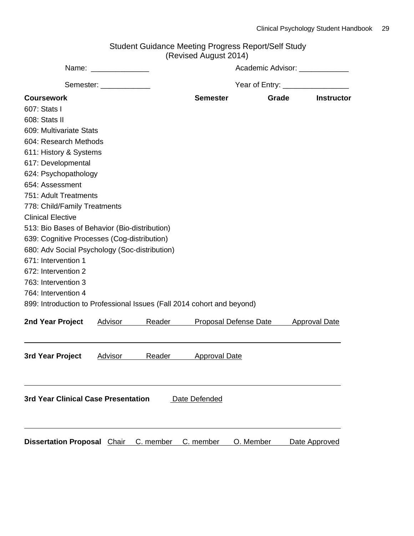| Student Guidance Meeting Progress Report/Self Study |
|-----------------------------------------------------|
| (Revised August 2014)                               |

|                                                                        |                         |           | $1000$ $(0.900, 201)$         |                                |                      |  |  |  |
|------------------------------------------------------------------------|-------------------------|-----------|-------------------------------|--------------------------------|----------------------|--|--|--|
|                                                                        | Name: _____________     |           | Academic Advisor: ___________ |                                |                      |  |  |  |
|                                                                        | Semester: _____________ |           |                               | Year of Entry: _______________ |                      |  |  |  |
| <b>Coursework</b>                                                      |                         |           | <b>Semester</b>               | Grade                          | <b>Instructor</b>    |  |  |  |
| 607: Stats I                                                           |                         |           |                               |                                |                      |  |  |  |
| 608: Stats II                                                          |                         |           |                               |                                |                      |  |  |  |
| 609: Multivariate Stats                                                |                         |           |                               |                                |                      |  |  |  |
| 604: Research Methods                                                  |                         |           |                               |                                |                      |  |  |  |
| 611: History & Systems                                                 |                         |           |                               |                                |                      |  |  |  |
| 617: Developmental                                                     |                         |           |                               |                                |                      |  |  |  |
| 624: Psychopathology                                                   |                         |           |                               |                                |                      |  |  |  |
| 654: Assessment                                                        |                         |           |                               |                                |                      |  |  |  |
| 751: Adult Treatments                                                  |                         |           |                               |                                |                      |  |  |  |
| 778: Child/Family Treatments                                           |                         |           |                               |                                |                      |  |  |  |
| <b>Clinical Elective</b>                                               |                         |           |                               |                                |                      |  |  |  |
| 513: Bio Bases of Behavior (Bio-distribution)                          |                         |           |                               |                                |                      |  |  |  |
| 639: Cognitive Processes (Cog-distribution)                            |                         |           |                               |                                |                      |  |  |  |
| 680: Adv Social Psychology (Soc-distribution)                          |                         |           |                               |                                |                      |  |  |  |
| 671: Intervention 1                                                    |                         |           |                               |                                |                      |  |  |  |
| 672: Intervention 2                                                    |                         |           |                               |                                |                      |  |  |  |
| 763: Intervention 3                                                    |                         |           |                               |                                |                      |  |  |  |
| 764: Intervention 4                                                    |                         |           |                               |                                |                      |  |  |  |
| 899: Introduction to Professional Issues (Fall 2014 cohort and beyond) |                         |           |                               |                                |                      |  |  |  |
| 2nd Year Project                                                       | Advisor                 | Reader    | Proposal Defense Date         |                                | <b>Approval Date</b> |  |  |  |
| 3rd Year Project                                                       | Advisor                 | Reader    | <b>Approval Date</b>          |                                |                      |  |  |  |
| 3rd Year Clinical Case Presentation                                    |                         |           | Date Defended                 |                                |                      |  |  |  |
| <b>Dissertation Proposal Chair</b>                                     |                         | C. member | C. member                     | O. Member                      | Date Approved        |  |  |  |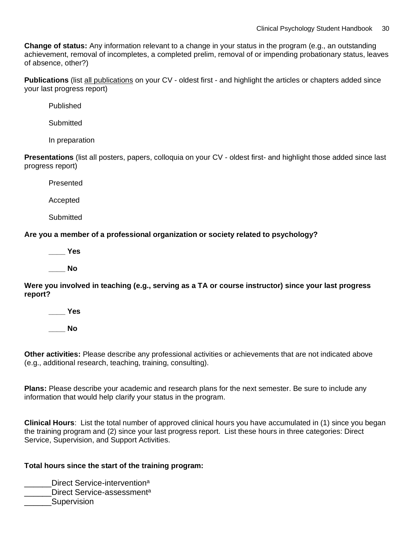**Change of status:** Any information relevant to a change in your status in the program (e.g., an outstanding achievement, removal of incompletes, a completed prelim, removal of or impending probationary status, leaves of absence, other?)

**Publications** (list all publications on your CV - oldest first - and highlight the articles or chapters added since your last progress report)

Published

**Submitted** 

In preparation

**Presentations** (list all posters, papers, colloquia on your CV - oldest first- and highlight those added since last progress report)

Presented

Accepted

**Submitted** 

**Are you a member of a professional organization or society related to psychology?**

**\_\_\_\_ Yes**

**\_\_\_\_ No**

**Were you involved in teaching (e.g., serving as a TA or course instructor) since your last progress report?**

**\_\_\_\_ Yes**

**\_\_\_\_ No**

**Other activities:** Please describe any professional activities or achievements that are not indicated above (e.g., additional research, teaching, training, consulting).

**Plans:** Please describe your academic and research plans for the next semester. Be sure to include any information that would help clarify your status in the program.

**Clinical Hours**: List the total number of approved clinical hours you have accumulated in (1) since you began the training program and (2) since your last progress report. List these hours in three categories: Direct Service, Supervision, and Support Activities.

#### **Total hours since the start of the training program:**

**\_\_\_\_\_\_Direct Service-intervention**<sup>a</sup>

- Lettuck Service-assessment<sup>a</sup>
- **Supervision**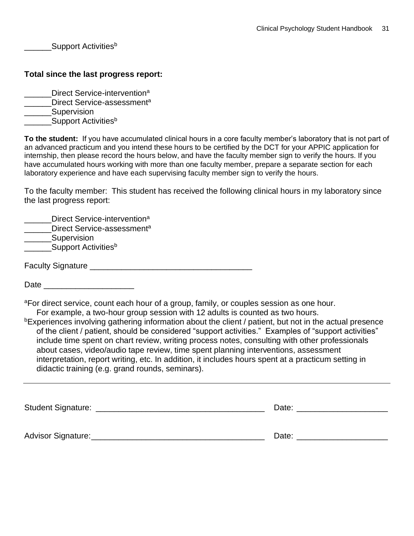Support Activities<sup>b</sup>

#### **Total since the last progress report:**

- **EXECUTE:** Direct Service-intervention<sup>a</sup>
- **EXECUTE:** Direct Service-assessment<sup>a</sup>
- \_\_\_\_\_\_Supervision
- Support Activities<sup>b</sup>

**To the student:** If you have accumulated clinical hours in a core faculty member's laboratory that is not part of an advanced practicum and you intend these hours to be certified by the DCT for your APPIC application for internship, then please record the hours below, and have the faculty member sign to verify the hours. If you have accumulated hours working with more than one faculty member, prepare a separate section for each laboratory experience and have each supervising faculty member sign to verify the hours.

To the faculty member: This student has received the following clinical hours in my laboratory since the last progress report:

| Direct Service-intervention <sup>a</sup><br>Direct Service-assessment <sup>a</sup><br>Supervision |  |
|---------------------------------------------------------------------------------------------------|--|
| Support Activities <sup>b</sup>                                                                   |  |
| <b>Faculty Signature</b>                                                                          |  |

Date  $\Box$ 

<sup>a</sup>For direct service, count each hour of a group, family, or couples session as one hour. For example, a two-hour group session with 12 adults is counted as two hours.

bExperiences involving gathering information about the client / patient, but not in the actual presence of the client / patient, should be considered "support activities." Examples of "support activities" include time spent on chart review, writing process notes, consulting with other professionals about cases, video/audio tape review, time spent planning interventions, assessment interpretation, report writing, etc. In addition, it includes hours spent at a practicum setting in didactic training (e.g. grand rounds, seminars).

| <b>Student Signature:</b> | Date: |
|---------------------------|-------|
| Advisor Signature:        | Date: |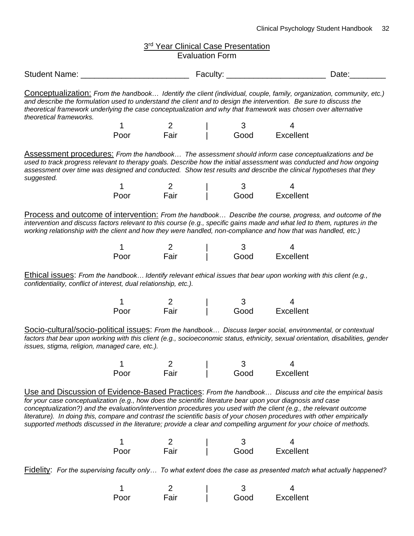| 3rd Year Clinical Case Presentation<br><b>Evaluation Form</b>                                                                                                                                                                                                                                                                                                                                                                                                                                                                                                                                |                                                                                                                                                                                                                                                                                                 |                         |                         |                                            |  |  |  |  |  |
|----------------------------------------------------------------------------------------------------------------------------------------------------------------------------------------------------------------------------------------------------------------------------------------------------------------------------------------------------------------------------------------------------------------------------------------------------------------------------------------------------------------------------------------------------------------------------------------------|-------------------------------------------------------------------------------------------------------------------------------------------------------------------------------------------------------------------------------------------------------------------------------------------------|-------------------------|-------------------------|--------------------------------------------|--|--|--|--|--|
|                                                                                                                                                                                                                                                                                                                                                                                                                                                                                                                                                                                              | Date:                                                                                                                                                                                                                                                                                           |                         |                         |                                            |  |  |  |  |  |
| Conceptualization: From the handbook Identify the client (individual, couple, family, organization, community, etc.)<br>and describe the formulation used to understand the client and to design the intervention. Be sure to discuss the<br>theoretical framework underlying the case conceptualization and why that framework was chosen over alternative<br>theoretical frameworks.                                                                                                                                                                                                       |                                                                                                                                                                                                                                                                                                 |                         |                         |                                            |  |  |  |  |  |
|                                                                                                                                                                                                                                                                                                                                                                                                                                                                                                                                                                                              | $\mathbf 1$                                                                                                                                                                                                                                                                                     | 2<br>Fair               | $\mathbf{3}$            |                                            |  |  |  |  |  |
|                                                                                                                                                                                                                                                                                                                                                                                                                                                                                                                                                                                              | Poor                                                                                                                                                                                                                                                                                            |                         | Good Excellent          |                                            |  |  |  |  |  |
| Assessment procedures: From the handbook The assessment should inform case conceptualizations and be<br>used to track progress relevant to therapy goals. Describe how the initial assessment was conducted and how ongoing<br>assessment over time was designed and conducted. Show test results and describe the clinical hypotheses that they<br>suggested.                                                                                                                                                                                                                               |                                                                                                                                                                                                                                                                                                 |                         |                         |                                            |  |  |  |  |  |
|                                                                                                                                                                                                                                                                                                                                                                                                                                                                                                                                                                                              | $\mathbf 1$<br>Poor                                                                                                                                                                                                                                                                             | 2<br>Fair               |                         | 3               4<br>Good        Excellent |  |  |  |  |  |
|                                                                                                                                                                                                                                                                                                                                                                                                                                                                                                                                                                                              | intervention and discuss factors relevant to this course (e.g., specific gains made and what led to them, ruptures in the<br>working relationship with the client and how they were handled, non-compliance and how that was handled, etc.)<br>2<br>Fair<br>1<br>3<br>Excellent<br>Good<br>Poor |                         |                         |                                            |  |  |  |  |  |
| Ethical issues: From the handbook Identify relevant ethical issues that bear upon working with this client (e.g.,<br>confidentiality, conflict of interest, dual relationship, etc.).                                                                                                                                                                                                                                                                                                                                                                                                        |                                                                                                                                                                                                                                                                                                 |                         |                         |                                            |  |  |  |  |  |
|                                                                                                                                                                                                                                                                                                                                                                                                                                                                                                                                                                                              | 1                                                                                                                                                                                                                                                                                               | $\overline{\mathbf{2}}$ | $\overline{\mathbf{3}}$ |                                            |  |  |  |  |  |
|                                                                                                                                                                                                                                                                                                                                                                                                                                                                                                                                                                                              | Poor                                                                                                                                                                                                                                                                                            | Fair                    | Good                    | Excellent                                  |  |  |  |  |  |
| Socio-cultural/socio-political issues: From the handbook Discuss larger social, environmental, or contextual<br>factors that bear upon working with this client (e.g., socioeconomic status, ethnicity, sexual orientation, disabilities, gender<br>issues, stigma, religion, managed care, etc.).                                                                                                                                                                                                                                                                                           |                                                                                                                                                                                                                                                                                                 |                         |                         |                                            |  |  |  |  |  |
|                                                                                                                                                                                                                                                                                                                                                                                                                                                                                                                                                                                              |                                                                                                                                                                                                                                                                                                 | 2                       | 3                       |                                            |  |  |  |  |  |
|                                                                                                                                                                                                                                                                                                                                                                                                                                                                                                                                                                                              | Poor                                                                                                                                                                                                                                                                                            | Fair                    | Good                    | Excellent                                  |  |  |  |  |  |
| Use and Discussion of Evidence-Based Practices: From the handbook Discuss and cite the empirical basis<br>for your case conceptualization (e.g., how does the scientific literature bear upon your diagnosis and case<br>conceptualization?) and the evaluation/intervention procedures you used with the client (e.g., the relevant outcome<br>literature). In doing this, compare and contrast the scientific basis of your chosen procedures with other empirically<br>supported methods discussed in the literature; provide a clear and compelling argument for your choice of methods. |                                                                                                                                                                                                                                                                                                 |                         |                         |                                            |  |  |  |  |  |
|                                                                                                                                                                                                                                                                                                                                                                                                                                                                                                                                                                                              |                                                                                                                                                                                                                                                                                                 |                         | 3                       |                                            |  |  |  |  |  |
|                                                                                                                                                                                                                                                                                                                                                                                                                                                                                                                                                                                              | Poor                                                                                                                                                                                                                                                                                            | 2<br>Fair               | Good                    | Excellent                                  |  |  |  |  |  |
|                                                                                                                                                                                                                                                                                                                                                                                                                                                                                                                                                                                              | Fidelity: For the supervising faculty only To what extent does the case as presented match what actually happened?                                                                                                                                                                              |                         |                         |                                            |  |  |  |  |  |
|                                                                                                                                                                                                                                                                                                                                                                                                                                                                                                                                                                                              |                                                                                                                                                                                                                                                                                                 |                         |                         |                                            |  |  |  |  |  |

| Poor | Fair | Good | Excellent |
|------|------|------|-----------|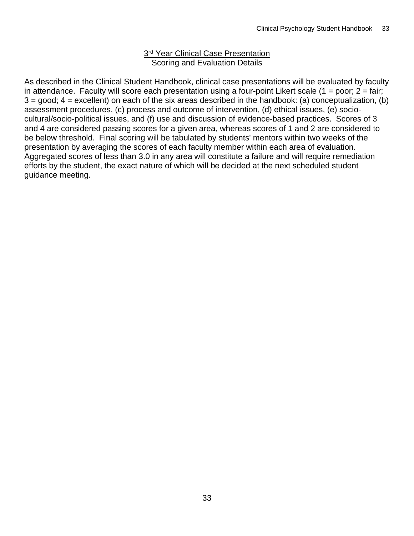#### 3<sup>rd</sup> Year Clinical Case Presentation Scoring and Evaluation Details

As described in the Clinical Student Handbook, clinical case presentations will be evaluated by faculty in attendance. Faculty will score each presentation using a four-point Likert scale  $(1 = poor; 2 = fair;$  $3 =$  good;  $4 =$  excellent) on each of the six areas described in the handbook: (a) conceptualization, (b) assessment procedures, (c) process and outcome of intervention, (d) ethical issues, (e) sociocultural/socio-political issues, and (f) use and discussion of evidence-based practices. Scores of 3 and 4 are considered passing scores for a given area, whereas scores of 1 and 2 are considered to be below threshold. Final scoring will be tabulated by students' mentors within two weeks of the presentation by averaging the scores of each faculty member within each area of evaluation. Aggregated scores of less than 3.0 in any area will constitute a failure and will require remediation efforts by the student, the exact nature of which will be decided at the next scheduled student guidance meeting.